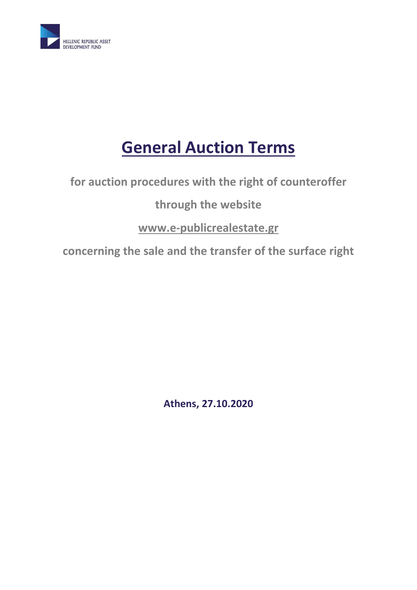

# **General Auction Terms**

**for auction procedures with the right of counteroffer**

# **through the website**

# **[www.e-publicrealestate.gr](http://www.e-publicrealestate.gr/)**

**concerning the sale and the transfer of the surface right** 

**Athens, 27.10.2020**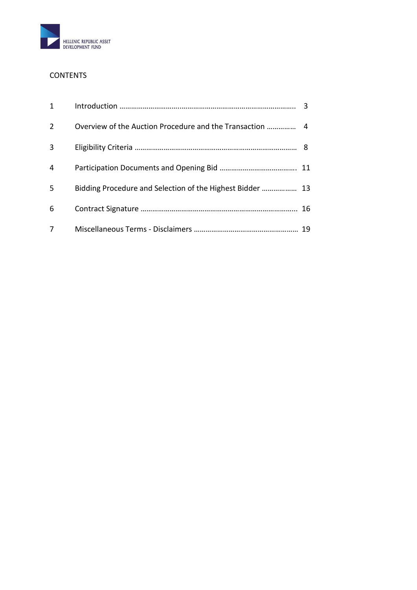

# **CONTENTS**

| $\mathbf{1}$   |                                                           |  |
|----------------|-----------------------------------------------------------|--|
| 2              |                                                           |  |
| 3              |                                                           |  |
| 4              |                                                           |  |
| 5              | Bidding Procedure and Selection of the Highest Bidder  13 |  |
| 6              |                                                           |  |
| $\overline{7}$ |                                                           |  |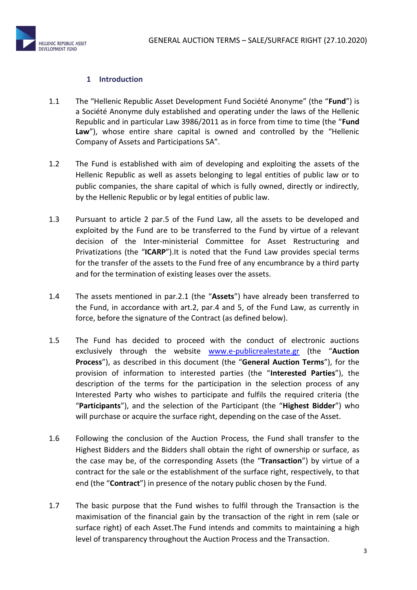

## **1 Introduction**

- 1.1 The "Hellenic Republic Asset Development Fund Société Anonyme" (the "**Fund**") is a Société Anonyme duly established and operating under the laws of the Hellenic Republic and in particular Law 3986/2011 as in force from time to time (the "**Fund Law**"), whose entire share capital is owned and controlled by the "Hellenic Company of Assets and Participations SA".
- 1.2 The Fund is established with aim of developing and exploiting the assets of the Hellenic Republic as well as assets belonging to legal entities of public law or to public companies, the share capital of which is fully owned, directly or indirectly, by the Hellenic Republic or by legal entities of public law.
- 1.3 Pursuant to article 2 par.5 of the Fund Law, all the assets to be developed and exploited by the Fund are to be transferred to the Fund by virtue of a relevant decision of the Inter-ministerial Committee for Asset Restructuring and Privatizations (the "**ICARP**").It is noted that the Fund Law provides special terms for the transfer of the assets to the Fund free of any encumbrance by a third party and for the termination of existing leases over the assets.
- 1.4 The assets mentioned in par.2.1 (the "**Assets**") have already been transferred to the Fund, in accordance with art.2, par.4 and 5, of the Fund Law, as currently in force, before the signature of the Contract (as defined below).
- 1.5 The Fund has decided to proceed with the conduct of electronic auctions exclusively through the website [www.e-publicrealestate.gr](http://www.e-publicrealestate.gr/) (the "**Auction Process**"), as described in this document (the "**General Auction Terms**"), for the provision of information to interested parties (the "**Interested Parties**"), the description of the terms for the participation in the selection process of any Interested Party who wishes to participate and fulfils the required criteria (the "**Participants**"), and the selection of the Participant (the "**Highest Bidder**") who will purchase or acquire the surface right, depending on the case of the Asset.
- 1.6 Following the conclusion of the Auction Process, the Fund shall transfer to the Highest Bidders and the Bidders shall obtain the right of ownership or surface, as the case may be, of the corresponding Assets (the "**Transaction**") by virtue of a contract for the sale or the establishment of the surface right, respectively, to that end (the "**Contract**") in presence of the notary public chosen by the Fund.
- 1.7 The basic purpose that the Fund wishes to fulfil through the Transaction is the maximisation of the financial gain by the transaction of the right in rem (sale or surface right) of each Asset.The Fund intends and commits to maintaining a high level of transparency throughout the Auction Process and the Transaction.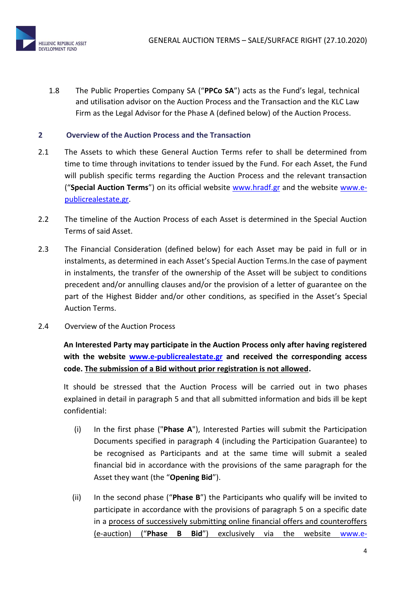1.8 The Public Properties Company SA ("**PPCo SA**") acts as the Fund's legal, technical and utilisation advisor on the Auction Process and the Transaction and the KLC Law Firm as the Legal Advisor for the Phase A (defined below) of the Auction Process.

# **2 Overview of the Auction Process and the Transaction**

- 2.1 The Assets to which these General Auction Terms refer to shall be determined from time to time through invitations to tender issued by the Fund. For each Asset, the Fund will publish specific terms regarding the Auction Process and the relevant transaction ("**Special Auction Terms**") on its official website [www.hradf.gr](http://www.hradf.gr/) and the website [www.e](http://www.e-publicrealestate.gr/)[publicrealestate.gr.](http://www.e-publicrealestate.gr/)
- 2.2 The timeline of the Auction Process of each Asset is determined in the Special Auction Terms of said Asset.
- 2.3 The Financial Consideration (defined below) for each Asset may be paid in full or in instalments, as determined in each Asset's Special Auction Terms.In the case of payment in instalments, the transfer of the ownership of the Asset will be subject to conditions precedent and/or annulling clauses and/or the provision of a letter of guarantee on the part of the Highest Bidder and/or other conditions, as specified in the Asset's Special Auction Terms.
- 2.4 Overview of the Auction Process

**An Interested Party may participate in the Auction Process only after having registered with the website [www.e-publicrealestate.gr](http://www.e-publicrealestate.gr/) and received the corresponding access code. The submission of a Bid without prior registration is not allowed.**

It should be stressed that the Auction Process will be carried out in two phases explained in detail in paragraph 5 and that all submitted information and bids ill be kept confidential:

- (i) In the first phase ("**Phase A**"), Interested Parties will submit the Participation Documents specified in paragraph 4 (including the Participation Guarantee) to be recognised as Participants and at the same time will submit a sealed financial bid in accordance with the provisions of the same paragraph for the Asset they want (the "**Opening Bid**").
- (ii) In the second phase ("**Phase B**") the Participants who qualify will be invited to participate in accordance with the provisions of paragraph 5 on a specific date in a process of successively submitting online financial offers and counteroffers (e-auction) ("**Phase B Bid**") exclusively via the website [www.e-](http://www.e-publicrealestate.gr/)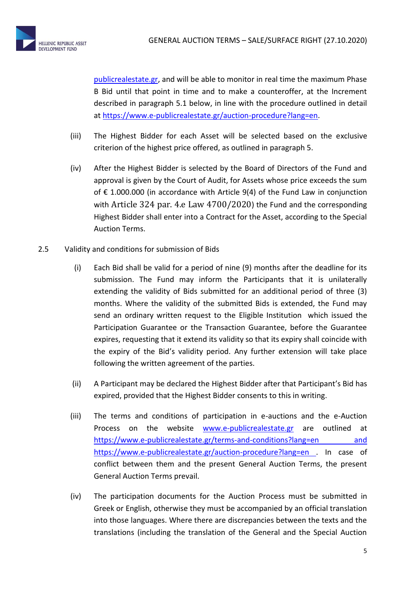

[publicrealestate.gr,](http://www.e-publicrealestate.gr/) and will be able to monitor in real time the maximum Phase B Bid until that point in time and to make a counteroffer, at the Increment described in paragraph 5.1 below, in line with the procedure outlined in detail at [https://www.e-publicrealestate.gr/auction-procedure?lang=en.](https://www.e-publicrealestate.gr/auction-procedure?lang=en)

- (iii) The Highest Bidder for each Asset will be selected based on the exclusive criterion of the highest price offered, as outlined in paragraph 5.
- (iv) After the Highest Bidder is selected by the Board of Directors of the Fund and approval is given by the Court of Audit, for Assets whose price exceeds the sum of € 1.000.000 (in accordance with Article 9(4) of the Fund Law in conjunction with Article 324 par. 4.e Law 4700/2020) the Fund and the corresponding Highest Bidder shall enter into a Contract for the Asset, according to the Special Auction Terms.
- 2.5 Validity and conditions for submission of Bids
	- (i) Each Bid shall be valid for a period of nine (9) months after the deadline for its submission. The Fund may inform the Participants that it is unilaterally extending the validity of Bids submitted for an additional period of three (3) months. Where the validity of the submitted Bids is extended, the Fund may send an ordinary written request to the Eligible Institution which issued the Participation Guarantee or the Transaction Guarantee, before the Guarantee expires, requesting that it extend its validity so that its expiry shall coincide with the expiry of the Bid's validity period. Any further extension will take place following the written agreement of the parties.
	- (ii) A Participant may be declared the Highest Bidder after that Participant's Bid has expired, provided that the Highest Bidder consents to this in writing.
	- (iii) The terms and conditions of participation in e-auctions and the e-Auction Process on the website [www.e-publicrealestate.gr](http://www.e-publicrealestate.gr/) are outlined at [https://www.e-publicrealestate.gr/terms-and-conditions?lang=en](https://www.e-publicrealestate.gr/terms-and-conditions?lang=en%20and%20%20https://www.e-publicrealestate.gr/auction-procedure?lang=en%20) and [https://www.e-publicrealestate.gr/auction-procedure?lang=en .](https://www.e-publicrealestate.gr/terms-and-conditions?lang=en%20and%20%20https://www.e-publicrealestate.gr/auction-procedure?lang=en%20) In case of conflict between them and the present General Auction Terms, the present General Auction Terms prevail.
	- (iv) The participation documents for the Auction Process must be submitted in Greek or English, otherwise they must be accompanied by an official translation into those languages. Where there are discrepancies between the texts and the translations (including the translation of the General and the Special Auction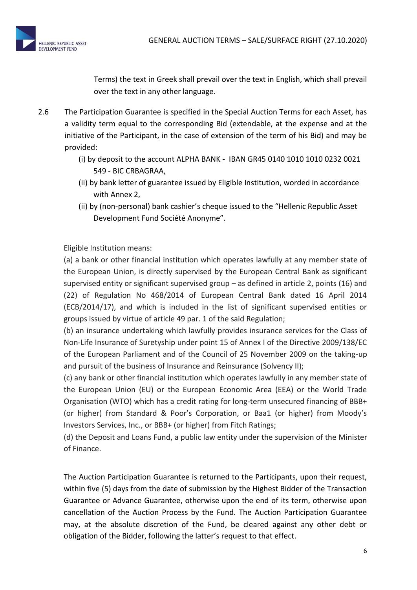

Terms) the text in Greek shall prevail over the text in English, which shall prevail over the text in any other language.

- 2.6 The Participation Guarantee is specified in the Special Auction Terms for each Asset, has a validity term equal to the corresponding Bid (extendable, at the expense and at the initiative of the Participant, in the case of extension of the term of his Bid) and may be provided:
	- (i) by deposit to the account ALPHA BANK ΙΒΑΝ GR45 0140 1010 1010 0232 0021 549 - BIC CRBAGRAA,
	- (ii) by bank letter of guarantee issued by Eligible Institution, worded in accordance with Annex 2,
	- (ii) by (non-personal) bank cashier's cheque issued to the "Hellenic Republic Asset Development Fund Société Anonyme".

Eligible Institution means:

(a) a bank or other financial institution which operates lawfully at any member state of the European Union, is directly supervised by the European Central Bank as significant supervised entity or significant supervised group – as defined in article 2, points (16) and (22) of Regulation No 468/2014 of European Central Bank dated 16 April 2014 (ECB/2014/17), and which is included in the list of significant supervised entities or groups issued by virtue of article 49 par. 1 of the said Regulation;

(b) an insurance undertaking which lawfully provides insurance services for the Class of Non-Life Insurance of Suretyship under point 15 of Annex I of the Directive 2009/138/EC of the European Parliament and of the Council of 25 November 2009 on the taking-up and pursuit of the business of Insurance and Reinsurance (Solvency II);

(c) any bank or other financial institution which operates lawfully in any member state of the European Union (EU) or the European Economic Area (EEA) or the World Trade Organisation (WTO) which has a credit rating for long-term unsecured financing of BBB+ (or higher) from Standard & Poor's Corporation, or Baa1 (or higher) from Moody's Investors Services, Inc., or BBB+ (or higher) from Fitch Ratings;

(d) the Deposit and Loans Fund, a public law entity under the supervision of the Minister of Finance.

The Auction Participation Guarantee is returned to the Participants, upon their request, within five (5) days from the date of submission by the Highest Bidder of the Transaction Guarantee or Advance Guarantee, otherwise upon the end of its term, otherwise upon cancellation of the Auction Process by the Fund. The Auction Participation Guarantee may, at the absolute discretion of the Fund, be cleared against any other debt or obligation of the Bidder, following the latter's request to that effect.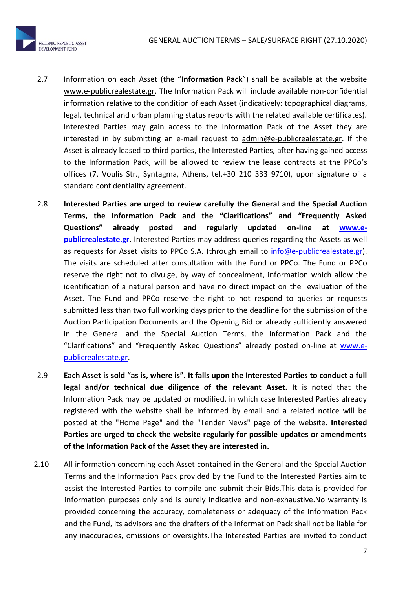

- 2.7 Information on each Asset (the "**Information Pack**") shall be available at the website [www.e-publicrealestate.gr.](http://www.e-publicrealestate.gr/) The Information Pack will include available non-confidential information relative to the condition of each Asset (indicatively: topographical diagrams, legal, technical and urban planning status reports with the related available certificates). Interested Parties may gain access to the Information Pack of the Asset they are interested in by submitting an e-mail request to [admin@e-publicrealestate.gr.](mailto:admin@e-publicrealestate.gr) If the Asset is already leased to third parties, the Interested Parties, after having gained access to the Information Pack, will be allowed to review the lease contracts at the PPCo's offices (7, Voulis Str., Syntagma, Athens, tel.+30 210 333 9710), upon signature of a standard confidentiality agreement.
- 2.8 **Interested Parties are urged to review carefully the General and the Special Auction Terms, the Information Pack and the "Clarifications" and "Frequently Asked Questions" already posted and regularly updated on-line at [www.e](http://www.e-publicrealestate.gr/)[publicrealestate.gr](http://www.e-publicrealestate.gr/)**. Interested Parties may address queries regarding the Assets as well as requests for Asset visits to PPCo S.A. (through email to [info@e-publicrealestate.gr\)](mailto:info@e-publicrealestate.gr). The visits are scheduled after consultation with the Fund or PPCo. The Fund or PPCo reserve the right not to divulge, by way of concealment, information which allow the identification of a natural person and have no direct impact on the evaluation of the Asset. The Fund and PPCo reserve the right to not respond to queries or requests submitted less than two full working days prior to the deadline for the submission of the Auction Participation Documents and the Opening Bid or already sufficiently answered in the General and the Special Auction Terms, the Information Pack and the "Clarifications" and "Frequently Asked Questions" already posted on-line at [www.e](http://www.e-publicrealestate.gr/)[publicrealestate.gr.](http://www.e-publicrealestate.gr/)
- 2.9 **Each Asset is sold "as is, where is". It falls upon the Interested Parties to conduct a full legal and/or technical due diligence of the relevant Asset.** It is noted that the Information Pack may be updated or modified, in which case Interested Parties already registered with the website shall be informed by email and a related notice will be posted at the "Home Page" and the "Tender News" page of the website. **Interested Parties are urged to check the website regularly for possible updates or amendments of the Information Pack of the Asset they are interested in.**
- 2.10 All information concerning each Asset contained in the General and the Special Auction Terms and the Information Pack provided by the Fund to the Interested Parties aim to assist the Interested Parties to compile and submit their Bids.This data is provided for information purposes only and is purely indicative and non-exhaustive.No warranty is provided concerning the accuracy, completeness or adequacy of the Information Pack and the Fund, its advisors and the drafters of the Information Pack shall not be liable for any inaccuracies, omissions or oversights.The Interested Parties are invited to conduct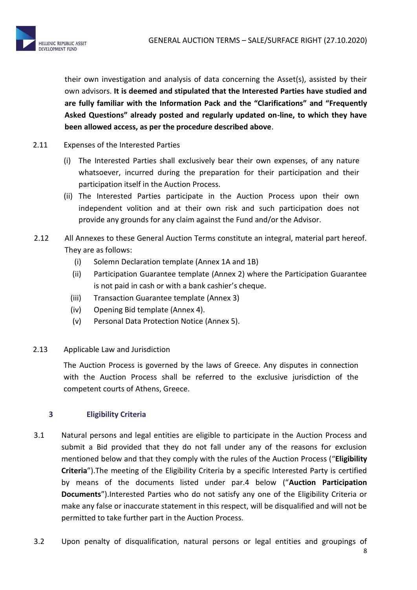

their own investigation and analysis of data concerning the Asset(s), assisted by their own advisors. **It is deemed and stipulated that the Interested Parties have studied and are fully familiar with the Information Pack and the "Clarifications" and "Frequently Asked Questions" already posted and regularly updated on-line, to which they have been allowed access, as per the procedure described above**.

- 2.11 Expenses of the Interested Parties
	- (i) The Interested Parties shall exclusively bear their own expenses, of any nature whatsoever, incurred during the preparation for their participation and their participation itself in the Auction Process.
	- (ii) The Interested Parties participate in the Auction Process upon their own independent volition and at their own risk and such participation does not provide any grounds for any claim against the Fund and/or the Advisor.
- 2.12 All Annexes to these General Auction Terms constitute an integral, material part hereof. They are as follows:
	- (i) Solemn Declaration template (Annex 1A and 1B)
	- (ii) Participation Guarantee template (Annex 2) where the Participation Guarantee is not paid in cash or with a bank cashier's cheque.
	- (iii) Transaction Guarantee template (Annex 3)
	- (iv) Opening Bid template (Annex 4).
	- (v) Personal Data Protection Notice (Annex 5).
- 2.13 Applicable Law and Jurisdiction

The Auction Process is governed by the laws of Greece. Any disputes in connection with the Auction Process shall be referred to the exclusive jurisdiction of the competent courts of Athens, Greece.

# **3 Eligibility Criteria**

- 3.1 Natural persons and legal entities are eligible to participate in the Auction Process and submit a Bid provided that they do not fall under any of the reasons for exclusion mentioned below and that they comply with the rules of the Auction Process ("**Eligibility Criteria**").The meeting of the Eligibility Criteria by a specific Interested Party is certified by means of the documents listed under par.4 below ("**Auction Participation Documents**").Interested Parties who do not satisfy any one of the Eligibility Criteria or make any false or inaccurate statement in this respect, will be disqualified and will not be permitted to take further part in the Auction Process.
- 3.2 Upon penalty of disqualification, natural persons or legal entities and groupings of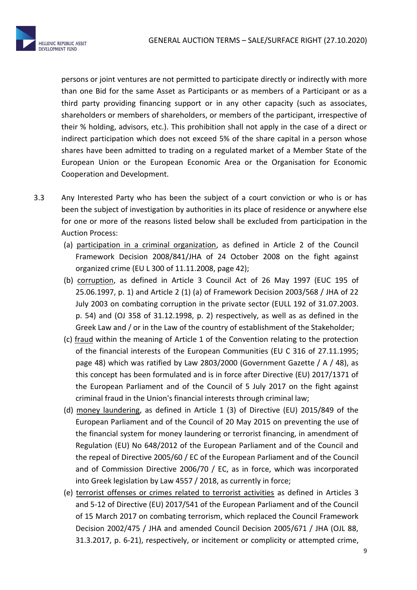

persons or joint ventures are not permitted to participate directly or indirectly with more than one Bid for the same Asset as Participants or as members of a Participant or as a third party providing financing support or in any other capacity (such as associates, shareholders or members of shareholders, or members of the participant, irrespective of their % holding, advisors, etc.). This prohibition shall not apply in the case of a direct or indirect participation which does not exceed 5% of the share capital in a person whose shares have been admitted to trading on a regulated market of a Member State of the European Union or the European Economic Area or the Organisation for Economic Cooperation and Development.

- 3.3 Any Interested Party who has been the subject of a court conviction or who is or has been the subject of investigation by authorities in its place of residence or anywhere else for one or more of the reasons listed below shall be excluded from participation in the Auction Process:
	- (a) participation in a criminal organization, as defined in Article 2 of the Council Framework Decision 2008/841/JHA of 24 October 2008 on the fight against organized crime (EU L 300 of 11.11.2008, page 42);
	- (b) corruption, as defined in Article 3 Council Act of 26 May 1997 (EUC 195 of 25.06.1997, p. 1) and Article 2 (1) (a) of Framework Decision 2003/568 / JHA of 22 July 2003 on combating corruption in the private sector (EULL 192 of 31.07.2003. p. 54) and (OJ 358 of 31.12.1998, p. 2) respectively, as well as as defined in the Greek Law and / or in the Law of the country of establishment of the Stakeholder;
	- (c) fraud within the meaning of Article 1 of the Convention relating to the protection of the financial interests of the European Communities (EU C 316 of 27.11.1995; page 48) which was ratified by Law 2803/2000 (Government Gazette / A / 48), as this concept has been formulated and is in force after Directive (EU) 2017/1371 of the European Parliament and of the Council of 5 July 2017 on the fight against criminal fraud in the Union's financial interests through criminal law;
	- (d) money laundering, as defined in Article 1 (3) of Directive (EU) 2015/849 of the European Parliament and of the Council of 20 May 2015 on preventing the use of the financial system for money laundering or terrorist financing, in amendment of Regulation (EU) No 648/2012 of the European Parliament and of the Council and the repeal of Directive 2005/60 / EC of the European Parliament and of the Council and of Commission Directive 2006/70 / EC, as in force, which was incorporated into Greek legislation by Law 4557 / 2018, as currently in force;
	- (e) terrorist offenses or crimes related to terrorist activities as defined in Articles 3 and 5-12 of Directive (EU) 2017/541 of the European Parliament and of the Council of 15 March 2017 on combating terrorism, which replaced the Council Framework Decision 2002/475 / JHA and amended Council Decision 2005/671 / JHA (OJL 88, 31.3.2017, p. 6-21), respectively, or incitement or complicity or attempted crime,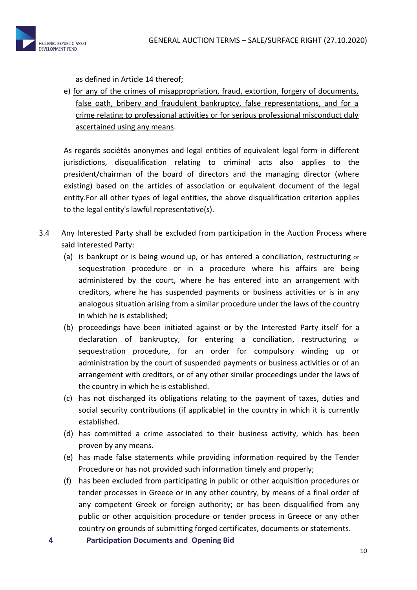

as defined in Article 14 thereof;

e) for any of the crimes of misappropriation, fraud, extortion, forgery of documents, false oath, bribery and fraudulent bankruptcy, false representations, and for a crime relating to professional activities or for serious professional misconduct duly ascertained using any means.

As regards sociétés anonymes and legal entities of equivalent legal form in different jurisdictions, disqualification relating to criminal acts also applies to the president/chairman of the board of directors and the managing director (where existing) based on the articles of association or equivalent document of the legal entity.For all other types of legal entities, the above disqualification criterion applies to the legal entity's lawful representative(s).

- 3.4 Any Interested Party shall be excluded from participation in the Auction Process where said Interested Party:
	- (a) is bankrupt or is being wound up, or has entered a conciliation, restructuring or sequestration procedure or in a procedure where his affairs are being administered by the court, where he has entered into an arrangement with creditors, where he has suspended payments or business activities or is in any analogous situation arising from a similar procedure under the laws of the country in which he is established;
	- (b) proceedings have been initiated against or by the Interested Party itself for a declaration of bankruptcy, for entering a conciliation, restructuring or sequestration procedure, for an order for compulsory winding up or administration by the court of suspended payments or business activities or of an arrangement with creditors, or of any other similar proceedings under the laws of the country in which he is established.
	- (c) has not discharged its obligations relating to the payment of taxes, duties and social security contributions (if applicable) in the country in which it is currently established.
	- (d) has committed a crime associated to their business activity, which has been proven by any means.
	- (e) has made false statements while providing information required by the Tender Procedure or has not provided such information timely and properly;
	- (f) has been excluded from participating in public or other acquisition procedures or tender processes in Greece or in any other country, by means of a final order of any competent Greek or foreign authority; or has been disqualified from any public or other acquisition procedure or tender process in Greece or any other country on grounds of submitting forged certificates, documents or statements.
	- **4 Participation Documents and Opening Bid**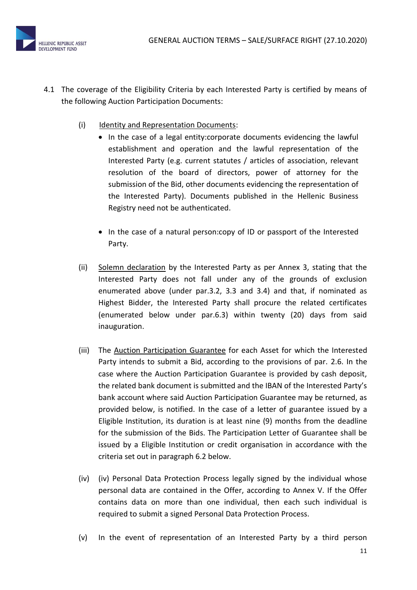

- 4.1 The coverage of the Eligibility Criteria by each Interested Party is certified by means of the following Auction Participation Documents:
	- (i) Identity and Representation Documents:
		- In the case of a legal entity:corporate documents evidencing the lawful establishment and operation and the lawful representation of the Interested Party (e.g. current statutes / articles of association, relevant resolution of the board of directors, power of attorney for the submission of the Bid, other documents evidencing the representation of the Interested Party). Documents published in the Hellenic Business Registry need not be authenticated.
			- In the case of a natural person:copy of ID or passport of the Interested Party.
	- (ii) Solemn declaration by the Interested Party as per Annex 3, stating that the Interested Party does not fall under any of the grounds of exclusion enumerated above (under par.3.2, 3.3 and 3.4) and that, if nominated as Highest Bidder, the Interested Party shall procure the related certificates (enumerated below under par.6.3) within twenty (20) days from said inauguration.
	- (iii) The Auction Participation Guarantee for each Asset for which the Interested Party intends to submit a Bid, according to the provisions of par. 2.6. In the case where the Auction Participation Guarantee is provided by cash deposit, the related bank document is submitted and the IBAN of the Interested Party's bank account where said Auction Participation Guarantee may be returned, as provided below, is notified. In the case of a letter of guarantee issued by a Eligible Institution, its duration is at least nine (9) months from the deadline for the submission of the Bids. The Participation Letter of Guarantee shall be issued by a Eligible Institution or credit organisation in accordance with the criteria set out in paragraph 6.2 below.
	- (iv) (iv) Personal Data Protection Process legally signed by the individual whose personal data are contained in the Offer, according to Annex V. If the Offer contains data on more than one individual, then each such individual is required to submit a signed Personal Data Protection Process.
	- (v) In the event of representation of an Interested Party by a third person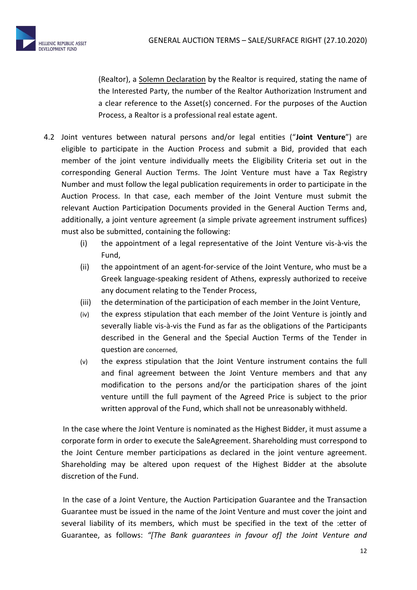

(Realtor), a Solemn Declaration by the Realtor is required, stating the name of the Interested Party, the number of the Realtor Authorization Instrument and a clear reference to the Asset(s) concerned. For the purposes of the Auction Process, a Realtor is a professional real estate agent.

- 4.2 Joint ventures between natural persons and/or legal entities ("**Joint Venture**") are eligible to participate in the Auction Process and submit a Bid, provided that each member of the joint venture individually meets the Eligibility Criteria set out in the corresponding General Auction Terms. The Joint Venture must have a Tax Registry Number and must follow the legal publication requirements in order to participate in the Auction Process. In that case, each member of the Joint Venture must submit the relevant Auction Participation Documents provided in the General Auction Terms and, additionally, a joint venture agreement (a simple private agreement instrument suffices) must also be submitted, containing the following:
	- (i) the appointment of a legal representative of the Joint Venture vis-à-vis the Fund,
	- (ii) the appointment of an agent-for-service of the Joint Venture, who must be a Greek language-speaking resident of Athens, expressly authorized to receive any document relating to the Tender Process,
	- (iii) the determination of the participation of each member in the Joint Venture,
	- (iv) the express stipulation that each member of the Joint Venture is jointly and severally liable vis-à-vis the Fund as far as the obligations of the Participants described in the General and the Special Auction Terms of the Tender in question are concerned,
	- (v) the express stipulation that the Joint Venture instrument contains the full and final agreement between the Joint Venture members and that any modification to the persons and/or the participation shares of the joint venture untill the full payment of the Agreed Price is subject to the prior written approval of the Fund, which shall not be unreasonably withheld.

In the case where the Joint Venture is nominated as the Highest Bidder, it must assume a corporate form in order to execute the SaleAgreement. Shareholding must correspond to the Joint Centure member participations as declared in the joint venture agreement. Shareholding may be altered upon request of the Highest Bidder at the absolute discretion of the Fund.

In the case of a Joint Venture, the Auction Participation Guarantee and the Transaction Guarantee must be issued in the name of the Joint Venture and must cover the joint and several liability of its members, which must be specified in the text of the :etter of Guarantee, as follows: *"[The Bank guarantees in favour of] the Joint Venture and*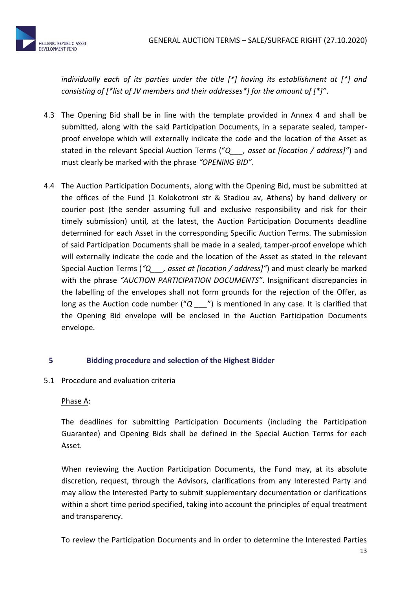*individually each of its parties under the title [\*] having its establishment at [\*] and consisting of [\*list of JV members and their addresses\*] for the amount of [\*]"*.

- 4.3 The Opening Bid shall be in line with the template provided in Annex 4 and shall be submitted, along with the said Participation Documents, in a separate sealed, tamperproof envelope which will externally indicate the code and the location of the Asset as stated in the relevant Special Auction Terms ("*Q\_\_\_, asset at [location / address]"*) and must clearly be marked with the phrase *"OPENING BID"*.
- 4.4 Τhe Auction Participation Documents, along with the Opening Bid, must be submitted at the offices of the Fund (1 Kolokotroni str & Stadiou av, Athens) by hand delivery or courier post (the sender assuming full and exclusive responsibility and risk for their timely submission) until, at the latest, the Auction Participation Documents deadline determined for each Asset in the corresponding Specific Auction Terms. The submission of said Participation Documents shall be made in a sealed, tamper-proof envelope which will externally indicate the code and the location of the Asset as stated in the relevant Special Auction Terms (*"Q\_\_\_, asset at [location / address]"*) and must clearly be marked with the phrase *"AUCTION PARTICIPATION DOCUMENTS"*. Insignificant discrepancies in the labelling of the envelopes shall not form grounds for the rejection of the Offer, as long as the Auction code number ("*Q* <sup>m</sup>) is mentioned in any case. It is clarified that the Opening Bid envelope will be enclosed in the Auction Participation Documents envelope.

# **5 Bidding procedure and selection of the Highest Bidder**

5.1 Procedure and evaluation criteria

# Phase A:

The deadlines for submitting Participation Documents (including the Participation Guarantee) and Opening Bids shall be defined in the Special Auction Terms for each Asset.

When reviewing the Auction Participation Documents, the Fund may, at its absolute discretion, request, through the Advisors, clarifications from any Interested Party and may allow the Interested Party to submit supplementary documentation or clarifications within a short time period specified, taking into account the principles of equal treatment and transparency.

To review the Participation Documents and in order to determine the Interested Parties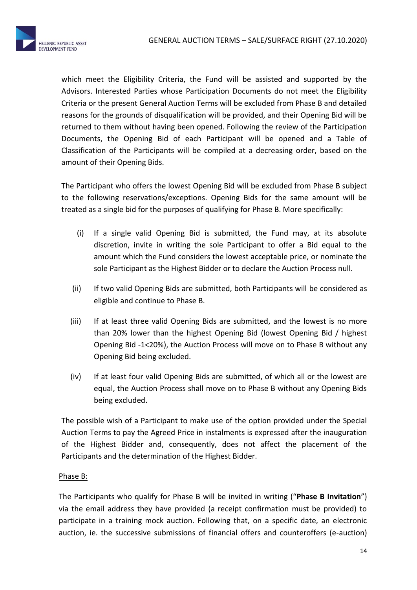

which meet the Eligibility Criteria, the Fund will be assisted and supported by the Advisors. Interested Parties whose Participation Documents do not meet the Eligibility Criteria or the present General Auction Terms will be excluded from Phase B and detailed reasons for the grounds of disqualification will be provided, and their Opening Bid will be returned to them without having been opened. Following the review of the Participation Documents, the Opening Bid of each Participant will be opened and a Table of Classification of the Participants will be compiled at a decreasing order, based on the amount of their Opening Bids.

Τhe Participant who offers the lowest Opening Bid will be excluded from Phase B subject to the following reservations/exceptions. Opening Bids for the same amount will be treated as a single bid for the purposes of qualifying for Phase B. More specifically:

- (i) If a single valid Opening Bid is submitted, the Fund may, at its absolute discretion, invite in writing the sole Participant to offer a Bid equal to the amount which the Fund considers the lowest acceptable price, or nominate the sole Participant as the Highest Bidder or to declare the Auction Process null.
- (ii) If two valid Opening Bids are submitted, both Participants will be considered as eligible and continue to Phase B.
- (iii) If at least three valid Opening Bids are submitted, and the lowest is no more than 20% lower than the highest Opening Bid (lowest Opening Bid / highest Opening Bid -1<20%), the Auction Process will move on to Phase B without any Opening Bid being excluded.
- (iv) If at least four valid Opening Bids are submitted, of which all or the lowest are equal, the Auction Process shall move on to Phase B without any Opening Bids being excluded.

The possible wish of a Participant to make use of the option provided under the Special Auction Terms to pay the Agreed Price in instalments is expressed after the inauguration of the Highest Bidder and, consequently, does not affect the placement of the Participants and the determination of the Highest Bidder.

# Phase B:

The Participants who qualify for Phase B will be invited in writing ("**Phase B Invitation**") via the email address they have provided (a receipt confirmation must be provided) to participate in a training mock auction. Following that, on a specific date, an electronic auction, ie. the successive submissions of financial offers and counteroffers (e-auction)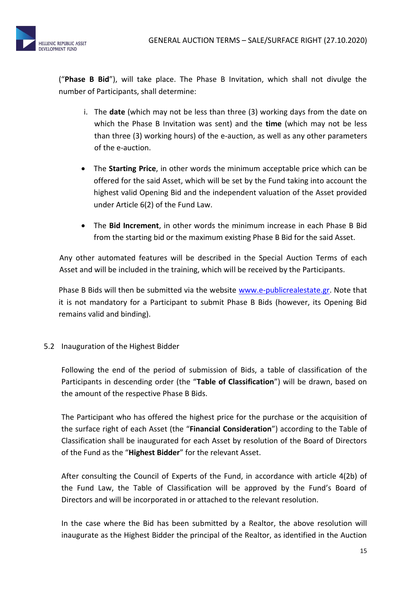

("**Phase B Bid**"), will take place. The Phase B Invitation, which shall not divulge the number of Participants, shall determine:

- i. The **date** (which may not be less than three (3) working days from the date on which the Phase B Invitation was sent) and the **time** (which may not be less than three (3) working hours) of the e-auction, as well as any other parameters of the e-auction.
- The **Starting Price**, in other words the minimum acceptable price which can be offered for the said Asset, which will be set by the Fund taking into account the highest valid Opening Bid and the independent valuation of the Asset provided under Article 6(2) of the Fund Law.
- The **Bid Increment**, in other words the minimum increase in each Phase B Bid from the starting bid or the maximum existing Phase B Bid for the said Asset.

Any other automated features will be described in the Special Auction Terms of each Asset and will be included in the training, which will be received by the Participants.

Phase B Bids will then be submitted via the website [www.e-publicrealestate.gr.](http://www.e-publicrealestate.gr/) Note that it is not mandatory for a Participant to submit Phase B Bids (however, its Opening Bid remains valid and binding).

5.2 Inauguration of the Highest Bidder

Following the end of the period of submission of Bids, a table of classification of the Participants in descending order (the "**Table of Classification**") will be drawn, based on the amount of the respective Phase B Bids.

The Participant who has offered the highest price for the purchase or the acquisition of the surface right of each Asset (the "**Financial Consideration**") according to the Table of Classification shall be inaugurated for each Asset by resolution of the Board of Directors of the Fund as the "**Highest Bidder**" for the relevant Asset.

After consulting the Council of Experts of the Fund, in accordance with article 4(2b) of the Fund Law, the Table of Classification will be approved by the Fund's Board of Directors and will be incorporated in or attached to the relevant resolution.

In the case where the Bid has been submitted by a Realtor, the above resolution will inaugurate as the Highest Bidder the principal of the Realtor, as identified in the Auction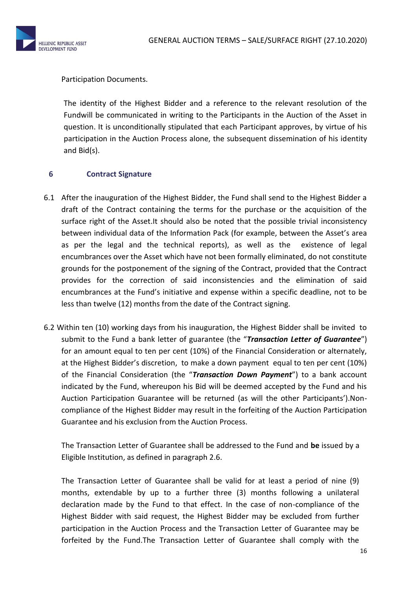

## Participation Documents.

The identity of the Highest Bidder and a reference to the relevant resolution of the Fundwill be communicated in writing to the Participants in the Auction of the Asset in question. It is unconditionally stipulated that each Participant approves, by virtue of his participation in the Auction Process alone, the subsequent dissemination of his identity and Bid(s).

#### **6 Contract Signature**

- 6.1 After the inauguration of the Highest Bidder, the Fund shall send to the Highest Bidder a draft of the Contract containing the terms for the purchase or the acquisition of the surface right of the Asset.It should also be noted that the possible trivial inconsistency between individual data of the Information Pack (for example, between the Asset's area as per the legal and the technical reports), as well as the existence of legal encumbrances over the Asset which have not been formally eliminated, do not constitute grounds for the postponement of the signing of the Contract, provided that the Contract provides for the correction of said inconsistencies and the elimination of said encumbrances at the Fund's initiative and expense within a specific deadline, not to be less than twelve (12) months from the date of the Contract signing.
- 6.2 Within ten (10) working days from his inauguration, the Highest Bidder shall be invited to submit to the Fund a bank letter of guarantee (the "*Transaction Letter of Guarantee*") for an amount equal to ten per cent (10%) of the Financial Consideration or alternately, at the Highest Bidder's discretion, to make a down payment equal to ten per cent (10%) of the Financial Consideration (the "*Transaction Down Payment*") to a bank account indicated by the Fund, whereupon his Bid will be deemed accepted by the Fund and his Auction Participation Guarantee will be returned (as will the other Participants').Noncompliance of the Highest Bidder may result in the forfeiting of the Auction Participation Guarantee and his exclusion from the Auction Process.

The Transaction Letter of Guarantee shall be addressed to the Fund and **be** issued by a Eligible Institution, as defined in paragraph 2.6.

The Transaction Letter of Guarantee shall be valid for at least a period of nine (9) months, extendable by up to a further three (3) months following a unilateral declaration made by the Fund to that effect. In the case of non-compliance of the Highest Bidder with said request, the Highest Bidder may be excluded from further participation in the Auction Process and the Transaction Letter of Guarantee may be forfeited by the Fund.The Transaction Letter of Guarantee shall comply with the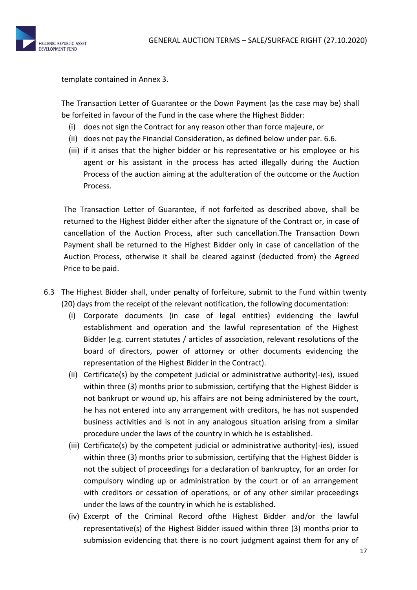

template contained in Annex 3.

The Transaction Letter of Guarantee or the Down Payment (as the case may be) shall be forfeited in favour of the Fund in the case where the Highest Bidder:

- (i) does not sign the Contract for any reason other than force majeure, or
- (ii) does not pay the Financial Consideration, as defined below under par. 6.6.
- (iii) if it arises that the higher bidder or his representative or his employee or his agent or his assistant in the process has acted illegally during the Auction Process of the auction aiming at the adulteration of the outcome or the Auction Process.

The Transaction Letter of Guarantee, if not forfeited as described above, shall be returned to the Highest Bidder either after the signature of the Contract or, in case of cancellation of the Auction Process, after such cancellation.The Transaction Down Payment shall be returned to the Highest Bidder only in case of cancellation of the Auction Process, otherwise it shall be cleared against (deducted from) the Agreed Price to be paid.

- 6.3 The Highest Bidder shall, under penalty of forfeiture, submit to the Fund within twenty (20) days from the receipt of the relevant notification, the following documentation:
	- (i) Corporate documents (in case of legal entities) evidencing the lawful establishment and operation and the lawful representation of the Highest Bidder (e.g. current statutes / articles of association, relevant resolutions of the board of directors, power of attorney or other documents evidencing the representation of the Highest Bidder in the Contract).
	- (ii) Certificate(s) by the competent judicial or administrative authority(-ies), issued within three (3) months prior to submission, certifying that the Highest Bidder is not bankrupt or wound up, his affairs are not being administered by the court, he has not entered into any arrangement with creditors, he has not suspended business activities and is not in any analogous situation arising from a similar procedure under the laws of the country in which he is established.
	- (iii) Certificate(s) by the competent judicial or administrative authority(-ies), issued within three (3) months prior to submission, certifying that the Highest Bidder is not the subject of proceedings for a declaration of bankruptcy, for an order for compulsory winding up or administration by the court or of an arrangement with creditors or cessation of operations, or of any other similar proceedings under the laws of the country in which he is established.
	- (iv) Excerpt of the Criminal Record ofthe Highest Bidder and/or the lawful representative(s) of the Highest Bidder issued within three (3) months prior to submission evidencing that there is no court judgment against them for any of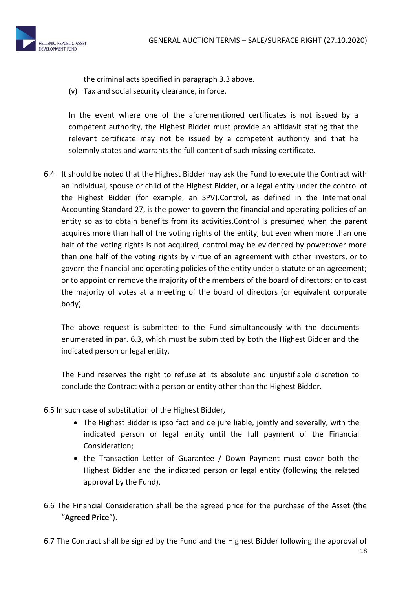

the criminal acts specified in paragraph 3.3 above.

(v) Tax and social security clearance, in force.

In the event where one of the aforementioned certificates is not issued by a competent authority, the Highest Bidder must provide an affidavit stating that the relevant certificate may not be issued by a competent authority and that he solemnly states and warrants the full content of such missing certificate.

6.4 It should be noted that the Highest Bidder may ask the Fund to execute the Contract with an individual, spouse or child of the Highest Bidder, or a legal entity under the control of the Highest Bidder (for example, an SPV).Control, as defined in the International Accounting Standard 27, is the power to govern the financial and operating policies of an entity so as to obtain benefits from its activities.Control is presumed when the parent acquires more than half of the voting rights of the entity, but even when more than one half of the voting rights is not acquired, control may be evidenced by power:over more than one half of the voting rights by virtue of an agreement with other investors, or to govern the financial and operating policies of the entity under a statute or an agreement; or to appoint or remove the majority of the members of the board of directors; or to cast the majority of votes at a meeting of the board of directors (or equivalent corporate body).

The above request is submitted to the Fund simultaneously with the documents enumerated in par. 6.3, which must be submitted by both the Highest Bidder and the indicated person or legal entity.

The Fund reserves the right to refuse at its absolute and unjustifiable discretion to conclude the Contract with a person or entity other than the Highest Bidder.

- 6.5 In such case of substitution of the Highest Bidder,
	- The Highest Bidder is ipso fact and de jure liable, jointly and severally, with the indicated person or legal entity until the full payment of the Financial Consideration;
	- the Transaction Letter of Guarantee / Down Payment must cover both the Highest Bidder and the indicated person or legal entity (following the related approval by the Fund).
- 6.6 The Financial Consideration shall be the agreed price for the purchase of the Asset (the "**Agreed Price**").
- 6.7 Τhe Contract shall be signed by the Fund and the Highest Bidder following the approval of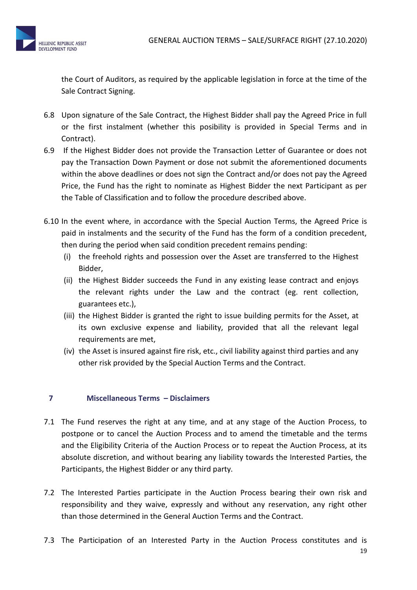

the Court of Auditors, as required by the applicable legislation in force at the time of the Sale Contract Signing.

- 6.8 Upon signature of the Sale Contract, the Highest Bidder shall pay the Agreed Price in full or the first instalment (whether this posibility is provided in Special Terms and in Contract).
- 6.9 If the Highest Bidder does not provide the Transaction Letter of Guarantee or does not pay the Transaction Down Payment or dose not submit the aforementioned documents within the above deadlines or does not sign the Contract and/or does not pay the Agreed Price, the Fund has the right to nominate as Highest Bidder the next Participant as per the Table of Classification and to follow the procedure described above.
- 6.10 In the event where, in accordance with the Special Auction Terms, the Agreed Price is paid in instalments and the security of the Fund has the form of a condition precedent, then during the period when said condition precedent remains pending:
	- (i) the freehold rights and possession over the Asset are transferred to the Highest Bidder,
	- (ii) the Highest Bidder succeeds the Fund in any existing lease contract and enjoys the relevant rights under the Law and the contract (eg. rent collection, guarantees etc.),
	- (iii) the Highest Bidder is granted the right to issue building permits for the Asset, at its own exclusive expense and liability, provided that all the relevant legal requirements are met,
	- (iv) τhe Asset is insured against fire risk, etc., civil liability against third parties and any other risk provided by the Special Auction Terms and the Contract.

# **7 Miscellaneous Terms – Disclaimers**

- 7.1 The Fund reserves the right at any time, and at any stage of the Auction Process, to postpone or to cancel the Auction Process and to amend the timetable and the terms and the Eligibility Criteria of the Auction Process or to repeat the Auction Process, at its absolute discretion, and without bearing any liability towards the Interested Parties, the Participants, the Highest Bidder or any third party.
- 7.2 The Interested Parties participate in the Auction Process bearing their own risk and responsibility and they waive, expressly and without any reservation, any right other than those determined in the General Auction Terms and the Contract.
- 7.3 The Participation of an Interested Party in the Auction Process constitutes and is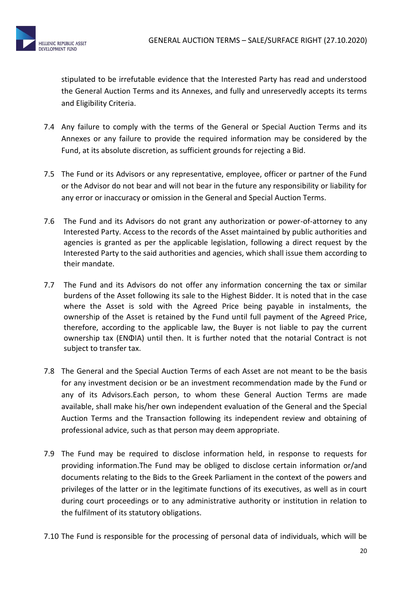

stipulated to be irrefutable evidence that the Interested Party has read and understood the General Auction Terms and its Annexes, and fully and unreservedly accepts its terms and Eligibility Criteria.

- 7.4 Any failure to comply with the terms of the General or Special Auction Terms and its Annexes or any failure to provide the required information may be considered by the Fund, at its absolute discretion, as sufficient grounds for rejecting a Bid.
- 7.5 The Fund or its Advisors or any representative, employee, officer or partner of the Fund or the Advisor do not bear and will not bear in the future any responsibility or liability for any error or inaccuracy or omission in the General and Special Auction Terms.
- 7.6 The Fund and its Advisors do not grant any authorization or power-of-attorney to any Interested Party. Access to the records of the Asset maintained by public authorities and agencies is granted as per the applicable legislation, following a direct request by the Interested Party to the said authorities and agencies, which shall issue them according to their mandate.
- 7.7 The Fund and its Advisors do not offer any information concerning the tax or similar burdens of the Asset following its sale to the Highest Bidder. It is noted that in the case where the Asset is sold with the Agreed Price being payable in instalments, the ownership of the Asset is retained by the Fund until full payment of the Agreed Price, therefore, according to the applicable law, the Buyer is not liable to pay the current ownership tax (ΕΝΦΙΑ) until then. It is further noted that the notarial Contract is not subject to transfer tax.
- 7.8 The General and the Special Auction Terms of each Asset are not meant to be the basis for any investment decision or be an investment recommendation made by the Fund or any of its Advisors.Each person, to whom these General Auction Terms are made available, shall make his/her own independent evaluation of the General and the Special Auction Terms and the Transaction following its independent review and obtaining of professional advice, such as that person may deem appropriate.
- 7.9 The Fund may be required to disclose information held, in response to requests for providing information.The Fund may be obliged to disclose certain information or/and documents relating to the Bids to the Greek Parliament in the context of the powers and privileges of the latter or in the legitimate functions of its executives, as well as in court during court proceedings or to any administrative authority or institution in relation to the fulfilment of its statutory obligations.
- 7.10 The Fund is responsible for the processing of personal data of individuals, which will be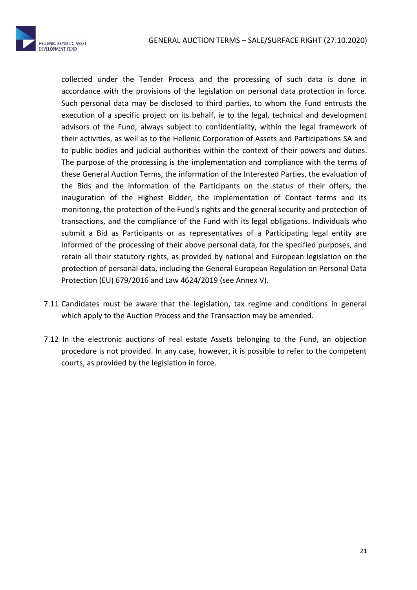

collected under the Tender Process and the processing of such data is done in accordance with the provisions of the legislation on personal data protection in force. Such personal data may be disclosed to third parties, to whom the Fund entrusts the execution of a specific project on its behalf, ie to the legal, technical and development advisors of the Fund, always subject to confidentiality, within the legal framework of their activities, as well as to the Hellenic Corporation of Assets and Participations SA and to public bodies and judicial authorities within the context of their powers and duties. The purpose of the processing is the implementation and compliance with the terms of these General Auction Terms, the information of the Interested Parties, the evaluation of the Bids and the information of the Participants on the status of their offers, the inauguration of the Highest Bidder, the implementation of Contact terms and its monitoring, the protection of the Fund's rights and the general security and protection of transactions, and the compliance of the Fund with its legal obligations. Individuals who submit a Bid as Participants or as representatives of a Participating legal entity are informed of the processing of their above personal data, for the specified purposes, and retain all their statutory rights, as provided by national and European legislation on the protection of personal data, including the General European Regulation on Personal Data Protection (EU) 679/2016 and Law 4624/2019 (see Annex V).

- 7.11 Candidates must be aware that the legislation, tax regime and conditions in general which apply to the Auction Process and the Transaction may be amended.
- 7.12 In the electronic auctions of real estate Assets belonging to the Fund, an objection procedure is not provided. In any case, however, it is possible to refer to the competent courts, as provided by the legislation in force.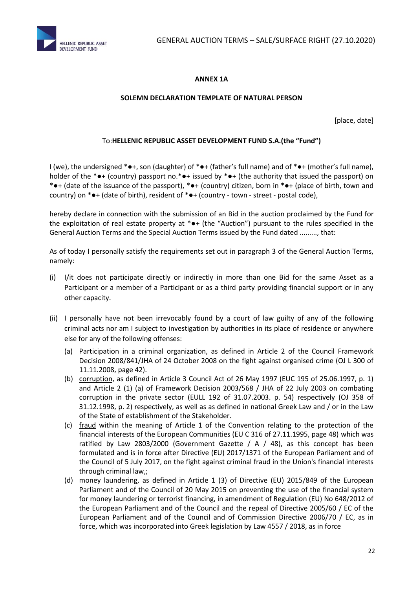



## **ANNEX 1A**

#### **SOLEMN DECLARATION TEMPLATE OF NATURAL PERSON**

[place, date]

#### To:**HELLENIC REPUBLIC ASSET DEVELOPMENT FUND S.A.(the "Fund")**

I (we), the undersigned \*●+, son (daughter) of \*●+ (father's full name) and of \*●+ (mother's full name), holder of the \*●+ (country) passport no.\*●+ issued by \*●+ (the authority that issued the passport) on \*●+ (date of the issuance of the passport), \*●+ (country) citizen, born in \*●+ (place of birth, town and country) on \*●+ (date of birth), resident of \*●+ (country - town - street - postal code),

hereby declare in connection with the submission of an Bid in the auction proclaimed by the Fund for the exploitation of real estate property at \*●+ (the "Auction") pursuant to the rules specified in the General Auction Terms and the Special Auction Terms issued by the Fund dated ........., that:

As of today I personally satisfy the requirements set out in paragraph 3 of the General Auction Terms, namely:

- (i) I/it does not participate directly or indirectly in more than one Bid for the same Asset as a Participant or a member of a Participant or as a third party providing financial support or in any other capacity.
- (ii) I personally have not been irrevocably found by a court of law guilty of any of the following criminal acts nor am I subject to investigation by authorities in its place of residence or anywhere else for any of the following offenses:
	- (a) Participation in a criminal organization, as defined in Article 2 of the Council Framework Decision 2008/841/JHA of 24 October 2008 on the fight against organised crime (OJ L 300 of 11.11.2008, page 42).
	- (b) corruption, as defined in Article 3 Council Act of 26 May 1997 (EUC 195 of 25.06.1997, p. 1) and Article 2 (1) (a) of Framework Decision 2003/568 / JHA of 22 July 2003 on combating corruption in the private sector (EULL 192 of 31.07.2003. p. 54) respectively (OJ 358 of 31.12.1998, p. 2) respectively, as well as as defined in national Greek Law and / or in the Law of the State of establishment of the Stakeholder.
	- (c) fraud within the meaning of Article 1 of the Convention relating to the protection of the financial interests of the European Communities (EU C 316 of 27.11.1995, page 48) which was ratified by Law 2803/2000 (Government Gazette / A / 48), as this concept has been formulated and is in force after Directive (EU) 2017/1371 of the European Parliament and of the Council of 5 July 2017, on the fight against criminal fraud in the Union's financial interests through criminal law,;
	- (d) money laundering, as defined in Article 1 (3) of Directive (EU) 2015/849 of the European Parliament and of the Council of 20 May 2015 on preventing the use of the financial system for money laundering or terrorist financing, in amendment of Regulation (EU) No 648/2012 of the European Parliament and of the Council and the repeal of Directive 2005/60 / EC of the European Parliament and of the Council and of Commission Directive 2006/70 / EC, as in force, which was incorporated into Greek legislation by Law 4557 / 2018, as in force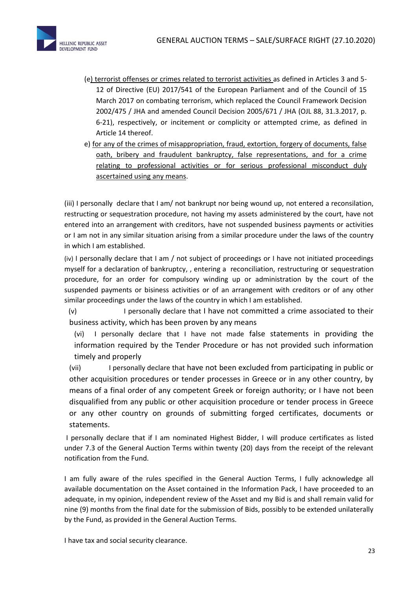

- (e) terrorist offenses or crimes related to terrorist activities as defined in Articles 3 and 5- 12 of Directive (EU) 2017/541 of the European Parliament and of the Council of 15 March 2017 on combating terrorism, which replaced the Council Framework Decision 2002/475 / JHA and amended Council Decision 2005/671 / JHA (OJL 88, 31.3.2017, p. 6-21), respectively, or incitement or complicity or attempted crime, as defined in Article 14 thereof.
- e) for any of the crimes of misappropriation, fraud, extortion, forgery of documents, false oath, bribery and fraudulent bankruptcy, false representations, and for a crime relating to professional activities or for serious professional misconduct duly ascertained using any means.

(iii) I personally declare that I am/ not bankrupt nor being wound up, not entered a reconsilation, restructing or sequestration procedure, not having my assets administered by the court, have not entered into an arrangement with creditors, have not suspended business payments or activities or I am not in any similar situation arising from a similar procedure under the laws of the country in which I am established.

(iv) I personally declare that I am / not subject of proceedings or I have not initiated proceedings myself for a declaration of bankruptcy, , entering a reconciliation, restructuring or sequestration procedure, for an order for compulsory winding up or administration by the court of the suspended payments or bisiness activities or of an arrangement with creditors or of any other similar proceedings under the laws of the country in which I am established.

(v) I personally declare that I have not committed a crime associated to their business activity, which has been proven by any means

(vi) I personally declare that I have not made false statements in providing the information required by the Tender Procedure or has not provided such information timely and properly

(vii) I personally declare that have not been excluded from participating in public or other acquisition procedures or tender processes in Greece or in any other country, by means of a final order of any competent Greek or foreign authority; or I have not been disqualified from any public or other acquisition procedure or tender process in Greece or any other country on grounds of submitting forged certificates, documents or statements.

I personally declare that if I am nominated Highest Bidder, I will produce certificates as listed under 7.3 of the General Auction Terms within twenty (20) days from the receipt of the relevant notification from the Fund.

I am fully aware of the rules specified in the General Auction Terms, I fully acknowledge all available documentation on the Asset contained in the Information Pack, I have proceeded to an adequate, in my opinion, independent review of the Asset and my Bid is and shall remain valid for nine (9) months from the final date for the submission of Bids, possibly to be extended unilaterally by the Fund, as provided in the General Auction Terms.

I have tax and social security clearance.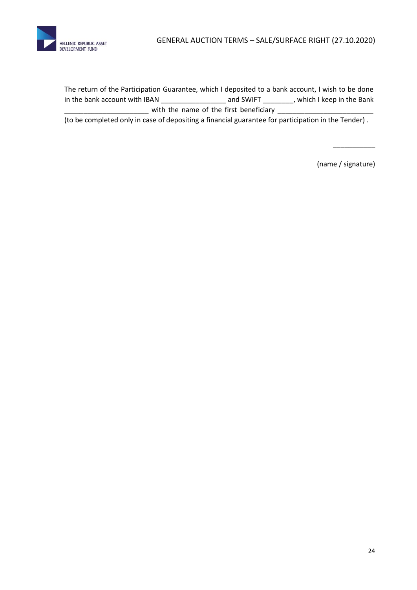

The return of the Participation Guarantee, which I deposited to a bank account, I wish to be done in the bank account with IBAN \_\_\_\_\_\_\_\_\_\_\_\_\_\_\_\_\_ and SWIFT \_\_\_\_\_\_\_\_, which I keep in the Bank  $\equiv$  with the name of the first beneficiary  $\equiv$ 

(to be completed only in case of depositing a financial guarantee for participation in the Tender) .

(name / signature)

\_\_\_\_\_\_\_\_\_\_\_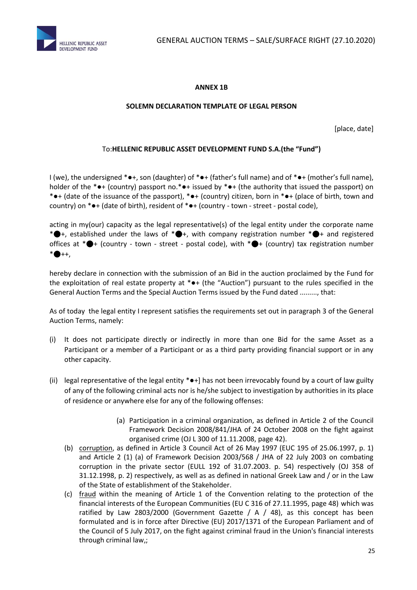

#### **ANNEX 1B**

#### **SOLEMN DECLARATION TEMPLATE OF LEGAL PERSON**

[place, date]

#### To:**HELLENIC REPUBLIC ASSET DEVELOPMENT FUND S.A.(the "Fund")**

I (we), the undersigned \*●+, son (daughter) of \*●+ (father's full name) and of \*●+ (mother's full name), holder of the \*●+ (country) passport no.\*●+ issued by \*●+ (the authority that issued the passport) on \*●+ (date of the issuance of the passport), \*●+ (country) citizen, born in \*●+ (place of birth, town and country) on \*●+ (date of birth), resident of \*●+ (country - town - street - postal code),

acting in my(our) capacity as the legal representative(s) of the legal entity under the corporate name \*●+, established under the laws of \*●+, with company registration number \*●+ and registered offices at  $* \bigoplus +$  (country - town - street - postal code), with  $* \bigoplus +$  (country) tax registration number  $* \bullet + +$ .

hereby declare in connection with the submission of an Bid in the auction proclaimed by the Fund for the exploitation of real estate property at \*●+ (the "Auction") pursuant to the rules specified in the General Auction Terms and the Special Auction Terms issued by the Fund dated ........., that:

As of today the legal entity I represent satisfies the requirements set out in paragraph 3 of the General Auction Terms, namely:

- (i) It does not participate directly or indirectly in more than one Bid for the same Asset as a Participant or a member of a Participant or as a third party providing financial support or in any other capacity.
- (ii) legal representative of the legal entity  $* \bullet +$ ] has not been irrevocably found by a court of law guilty of any of the following criminal acts nor is he/she subject to investigation by authorities in its place of residence or anywhere else for any of the following offenses:
	- (a) Participation in a criminal organization, as defined in Article 2 of the Council Framework Decision 2008/841/JHA of 24 October 2008 on the fight against organised crime (OJ L 300 of 11.11.2008, page 42).
	- (b) corruption, as defined in Article 3 Council Act of 26 May 1997 (EUC 195 of 25.06.1997, p. 1) and Article 2 (1) (a) of Framework Decision 2003/568 / JHA of 22 July 2003 on combating corruption in the private sector (EULL 192 of 31.07.2003. p. 54) respectively (OJ 358 of 31.12.1998, p. 2) respectively, as well as as defined in national Greek Law and / or in the Law of the State of establishment of the Stakeholder.
	- (c) fraud within the meaning of Article 1 of the Convention relating to the protection of the financial interests of the European Communities (EU C 316 of 27.11.1995, page 48) which was ratified by Law 2803/2000 (Government Gazette /  $A$  / 48), as this concept has been formulated and is in force after Directive (EU) 2017/1371 of the European Parliament and of the Council of 5 July 2017, on the fight against criminal fraud in the Union's financial interests through criminal law,;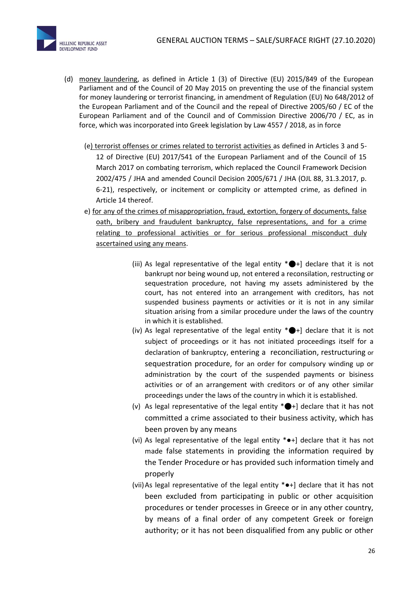

- (d) money laundering, as defined in Article 1 (3) of Directive (EU) 2015/849 of the European Parliament and of the Council of 20 May 2015 on preventing the use of the financial system for money laundering or terrorist financing, in amendment of Regulation (EU) No 648/2012 of the European Parliament and of the Council and the repeal of Directive 2005/60 / EC of the European Parliament and of the Council and of Commission Directive 2006/70 / EC, as in force, which was incorporated into Greek legislation by Law 4557 / 2018, as in force
	- (e) terrorist offenses or crimes related to terrorist activities as defined in Articles 3 and 5- 12 of Directive (EU) 2017/541 of the European Parliament and of the Council of 15 March 2017 on combating terrorism, which replaced the Council Framework Decision 2002/475 / JHA and amended Council Decision 2005/671 / JHA (OJL 88, 31.3.2017, p. 6-21), respectively, or incitement or complicity or attempted crime, as defined in Article 14 thereof.
	- e) for any of the crimes of misappropriation, fraud, extortion, forgery of documents, false oath, bribery and fraudulent bankruptcy, false representations, and for a crime relating to professional activities or for serious professional misconduct duly ascertained using any means.
		- (iii) As legal representative of the legal entity  $* \bigoplus +$ ] declare that it is not bankrupt nor being wound up, not entered a reconsilation, restructing or sequestration procedure, not having my assets administered by the court, has not entered into an arrangement with creditors, has not suspended business payments or activities or it is not in any similar situation arising from a similar procedure under the laws of the country in which it is established.
		- (iv) As legal representative of the legal entity  $* \bigoplus_i f$  declare that it is not subject of proceedings or it has not initiated proceedings itself for a declaration of bankruptcy, entering a reconciliation, restructuring or sequestration procedure, for an order for compulsory winding up or administration by the court of the suspended payments or bisiness activities or of an arrangement with creditors or of any other similar proceedings under the laws of the country in which it is established.
		- (v) As legal representative of the legal entity  $* \bigoplus +$ ] declare that it has not committed a crime associated to their business activity, which has been proven by any means
		- (vi) As legal representative of the legal entity \*●+] declare that it has not made false statements in providing the information required by the Tender Procedure or has provided such information timely and properly
		- (vii)As legal representative of the legal entity \*●+] declare that it has not been excluded from participating in public or other acquisition procedures or tender processes in Greece or in any other country, by means of a final order of any competent Greek or foreign authority; or it has not been disqualified from any public or other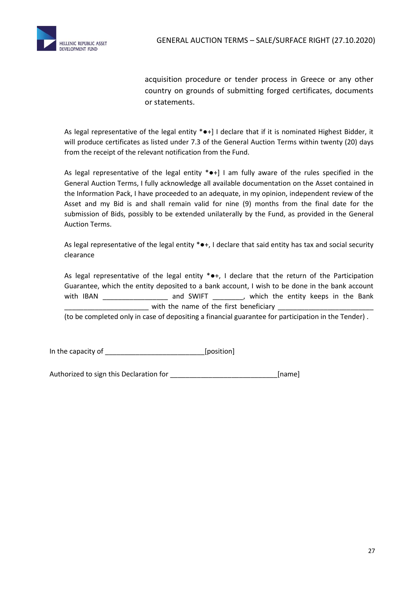

acquisition procedure or tender process in Greece or any other country on grounds of submitting forged certificates, documents or statements.

As legal representative of the legal entity \*•+] I declare that if it is nominated Highest Bidder, it will produce certificates as listed under 7.3 of the General Auction Terms within twenty (20) days from the receipt of the relevant notification from the Fund.

As legal representative of the legal entity  $* \bullet +$ ] I am fully aware of the rules specified in the General Auction Terms, I fully acknowledge all available documentation on the Asset contained in the Information Pack, I have proceeded to an adequate, in my opinion, independent review of the Asset and my Bid is and shall remain valid for nine (9) months from the final date for the submission of Bids, possibly to be extended unilaterally by the Fund, as provided in the General Auction Terms.

As legal representative of the legal entity \*●+, I declare that said entity has tax and social security clearance

As legal representative of the legal entity \*•+, I declare that the return of the Participation Guarantee, which the entity deposited to a bank account, I wish to be done in the bank account with IBAN and SWIFT , which the entity keeps in the Bank with the name of the first beneficiary

(to be completed only in case of depositing a financial guarantee for participation in the Tender) .

In the capacity of \_\_\_\_\_\_\_\_\_\_\_\_\_\_\_\_\_\_\_\_\_\_\_\_\_\_[position]

Authorized to sign this Declaration for **with all and the set of the set of the set of the set of the set of the set of the set of the set of the set of the set of the set of the set of the set of the set of the set of the**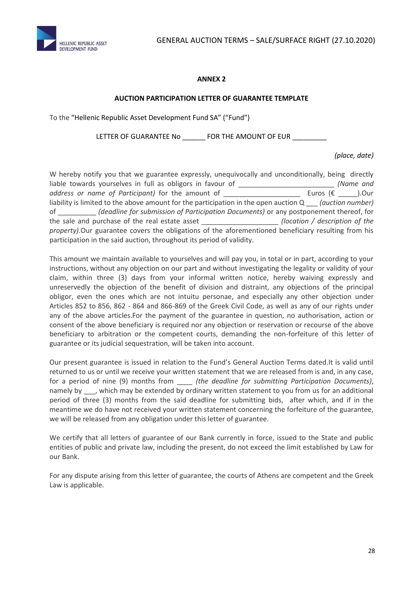



#### **ANNEX 2**

#### **AUCTION PARTICIPATION LETTER OF GUARANTEE TEMPLATE**

To the "Hellenic Republic Asset Development Fund SA" ("Fund")

LETTER OF GUARANTEE No \_\_\_\_\_\_\_ FOR THE AMOUNT OF EUR \_\_\_\_\_\_\_

*(place, date)*

W hereby notify you that we guarantee expressly, unequivocally and unconditionally, being directly liable towards yourselves in full as obligors in favour of \_\_\_\_\_\_\_\_\_\_\_\_\_\_\_\_\_\_\_\_\_\_\_\_\_ *(Name and address or name of Participant)* for the amount of \_\_\_\_\_\_\_\_\_\_\_\_\_\_\_\_\_\_\_\_ Euros (€ \_\_\_\_\_).Our liability is limited to the above amount for the participation in the open auction Q \_\_\_ *(auction number)* of \_\_\_\_\_\_\_\_\_\_ *(deadline for submission of Participation Documents)* or any postponement thereof, for the sale and purchase of the real estate asset \_\_\_\_\_\_\_\_\_\_\_\_\_\_\_\_\_\_\_\_ *(location / description of the property)*.Our guarantee covers the obligations of the aforementioned beneficiary resulting from his participation in the said auction, throughout its period of validity.

This amount we maintain available to yourselves and will pay you, in total or in part, according to your instructions, without any objection on our part and without investigating the legality or validity of your claim, within three (3) days from your informal written notice, hereby waiving expressly and unreservedly the objection of the benefit of division and distraint, any objections of the principal obligor, even the ones which are not intuitu personae, and especially any other objection under Articles 852 to 856, 862 - 864 and 866-869 of the Greek Civil Code, as well as any of our rights under any of the above articles.For the payment of the guarantee in question, no authorisation, action or consent of the above beneficiary is required nor any objection or reservation or recourse of the above beneficiary to arbitration or the competent courts, demanding the non-forfeiture of this letter of guarantee or its judicial sequestration, will be taken into account.

Our present guarantee is issued in relation to the Fund's General Auction Terms dated.It is valid until returned to us or until we receive your written statement that we are released from is and, in any case, for a period of nine (9) months from \_\_\_\_ *(the deadline for submitting Participation Documents)*, namely by , which may be extended by ordinary written statement to you from us for an additional period of three (3) months from the said deadline for submitting bids, after which, and if in the meantime we do have not received your written statement concerning the forfeiture of the guarantee, we will be released from any obligation under this letter of guarantee.

We certify that all letters of guarantee of our Bank currently in force, issued to the State and public entities of public and private law, including the present, do not exceed the limit established by Law for our Bank.

For any dispute arising from this letter of guarantee, the courts of Athens are competent and the Greek Law is applicable.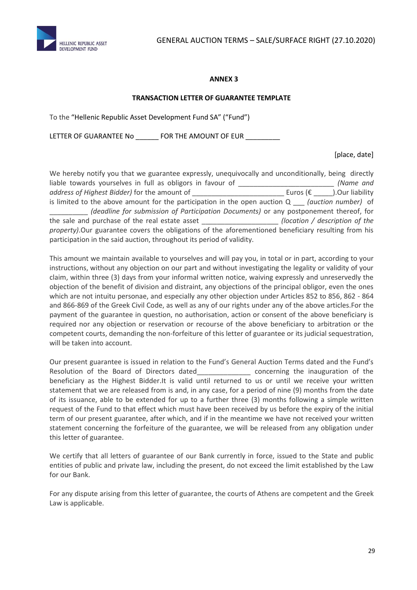

#### **ANNEX 3**

#### **TRANSACTION LETTER OF GUARANTEE TEMPLATE**

To the "Hellenic Republic Asset Development Fund SA" ("Fund")

LETTER OF GUARANTEE No \_\_\_\_\_\_\_ FOR THE AMOUNT OF EUR \_\_\_\_

[place, date]

| We hereby notify you that we guarantee expressly, unequivocally and unconditionally, being directly  |                                    |  |  |
|------------------------------------------------------------------------------------------------------|------------------------------------|--|--|
| liable towards yourselves in full as obligors in favour of                                           | (Name and                          |  |  |
| address of Highest Bidder) for the amount of                                                         | Euros $(\epsilon)$ . Our liability |  |  |
| is limited to the above amount for the participation in the open auction $Q$ (auction number) of     |                                    |  |  |
| (deadline for submission of Participation Documents) or any postponement thereof, for                |                                    |  |  |
| the sale and purchase of the real estate asset                                                       | (location / description of the     |  |  |
| property). Our guarantee covers the obligations of the aforementioned beneficiary resulting from his |                                    |  |  |
| participation in the said auction, throughout its period of validity.                                |                                    |  |  |

This amount we maintain available to yourselves and will pay you, in total or in part, according to your instructions, without any objection on our part and without investigating the legality or validity of your claim, within three (3) days from your informal written notice, waiving expressly and unreservedly the objection of the benefit of division and distraint, any objections of the principal obligor, even the ones which are not intuitu personae, and especially any other objection under Articles 852 to 856, 862 - 864 and 866-869 of the Greek Civil Code, as well as any of our rights under any of the above articles.For the payment of the guarantee in question, no authorisation, action or consent of the above beneficiary is required nor any objection or reservation or recourse of the above beneficiary to arbitration or the competent courts, demanding the non-forfeiture of this letter of guarantee or its judicial sequestration, will be taken into account.

Our present guarantee is issued in relation to the Fund's General Auction Terms dated and the Fund's Resolution of the Board of Directors dated\_\_\_\_\_\_\_\_\_\_\_\_\_\_\_ concerning the inauguration of the beneficiary as the Highest Bidder.It is valid until returned to us or until we receive your written statement that we are released from is and, in any case, for a period of nine (9) months from the date of its issuance, able to be extended for up to a further three (3) months following a simple written request of the Fund to that effect which must have been received by us before the expiry of the initial term of our present guarantee, after which, and if in the meantime we have not received your written statement concerning the forfeiture of the guarantee, we will be released from any obligation under this letter of guarantee.

We certify that all letters of guarantee of our Bank currently in force, issued to the State and public entities of public and private law, including the present, do not exceed the limit established by the Law for our Bank.

For any dispute arising from this letter of guarantee, the courts of Athens are competent and the Greek Law is applicable.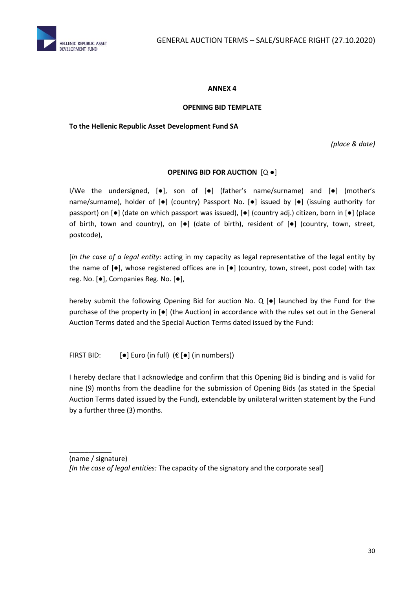

#### **ANNEX 4**

#### **OPENING BID TEMPLATE**

#### **To the Hellenic Republic Asset Development Fund SA**

*(place & date)*

#### **OPENING BID FOR AUCTION** [Q ●]

I/We the undersigned, [●], son of [●] (father's name/surname) and [●] (mother's name/surname), holder of [●] (country) Passport No. [●] issued by [●] (issuing authority for passport) on [●] (date on which passport was issued), [●] (country adj.) citizen, born in [●] (place of birth, town and country), on [●] (date of birth), resident of [●] (country, town, street, postcode),

[*in the case of a legal entity*: acting in my capacity as legal representative of the legal entity by the name of [●], whose registered offices are in [●] (country, town, street, post code) with tax reg. No. [●], Companies Reg. No. [●],

hereby submit the following Opening Bid for auction No. Q [●] launched by the Fund for the purchase of the property in [●] (the Auction) in accordance with the rules set out in the General Auction Terms dated and the Special Auction Terms dated issued by the Fund:

FIRST BID:  $[\bullet]$  Euro (in full)  $(\epsilon [\bullet]$  (in numbers))

\_\_\_\_\_\_\_\_\_\_\_

I hereby declare that I acknowledge and confirm that this Opening Bid is binding and is valid for nine (9) months from the deadline for the submission of Opening Bids (as stated in the Special Auction Terms dated issued by the Fund), extendable by unilateral written statement by the Fund by a further three (3) months.

<sup>(</sup>name / signature) *[In the case of legal entities:* The capacity of the signatory and the corporate seal]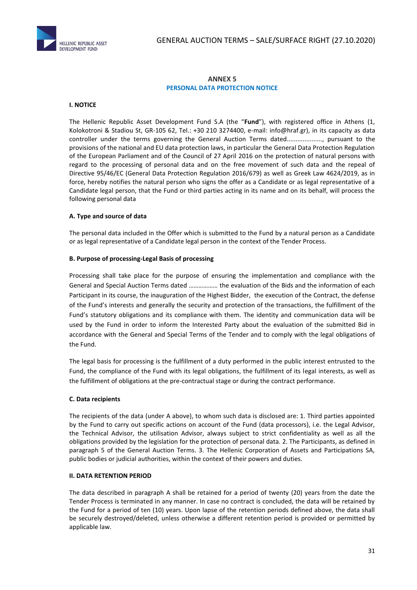

#### **ΑΝΝΕΧ 5 PERSONAL DATA PROTECTION NOTICE**

#### **I. NOTICE**

The Hellenic Republic Asset Development Fund S.A (the "**Fund**"), with registered office in Athens (1, Kolokotroni & Stadiou St, GR-105 62, Tel.: +30 210 3274400, e-mail: [info@hraf.gr\)](mailto:info@hraf.gr), in its capacity as data controller under the terms governing the General Auction Terms dated...................., pursuant to the provisions of the national and EU data protection laws, in particular the General Data Protection Regulation of the European Parliament and of the Council of 27 April 2016 on the protection of natural persons with regard to the processing of personal data and on the free movement of such data and the repeal of Directive 95/46/EC (General Data Protection Regulation 2016/679) as well as Greek Law 4624/2019, as in force, hereby notifies the natural person who signs the offer as a Candidate or as legal representative of a Candidate legal person, that the Fund or third parties acting in its name and on its behalf, will process the following personal data

#### **A. Type and source of data**

The personal data included in the Offer which is submitted to the Fund by a natural person as a Candidate or as legal representative of a Candidate legal person in the context of the Tender Process.

#### **B. Purpose of processing-Legal Basis of processing**

Processing shall take place for the purpose of ensuring the implementation and compliance with the General and Special Auction Terms dated ……………… the evaluation of the Bids and the information of each Participant in its course, the inauguration of the Highest Bidder, the execution of the Contract, the defense of the Fund's interests and generally the security and protection of the transactions, the fulfillment of the Fund's statutory obligations and its compliance with them. The identity and communication data will be used by the Fund in order to inform the Interested Party about the evaluation of the submitted Bid in accordance with the General and Special Terms of the Tender and to comply with the legal obligations of the Fund.

The legal basis for processing is the fulfillment of a duty performed in the public interest entrusted to the Fund, the compliance of the Fund with its legal obligations, the fulfillment of its legal interests, as well as the fulfillment of obligations at the pre-contractual stage or during the contract performance.

#### **C. Data recipients**

The recipients of the data (under A above), to whom such data is disclosed are: 1. Third parties appointed by the Fund to carry out specific actions on account of the Fund (data processors), i.e. the Legal Advisor, the Technical Advisor, the utilisation Advisor, always subject to strict confidentiality as well as all the obligations provided by the legislation for the protection of personal data. 2. The Participants, as defined in paragraph 5 of the General Auction Terms. 3. The Hellenic Corporation of Assets and Participations SA, public bodies or judicial authorities, within the context of their powers and duties.

#### **ΙΙ. DATA RETENTION PERIOD**

The data described in paragraph A shall be retained for a period of twenty (20) years from the date the Tender Process is terminated in any manner. In case no contract is concluded, the data will be retained by the Fund for a period of ten (10) years. Upon lapse of the retention periods defined above, the data shall be securely destroyed/deleted, unless otherwise a different retention period is provided or permitted by applicable law.